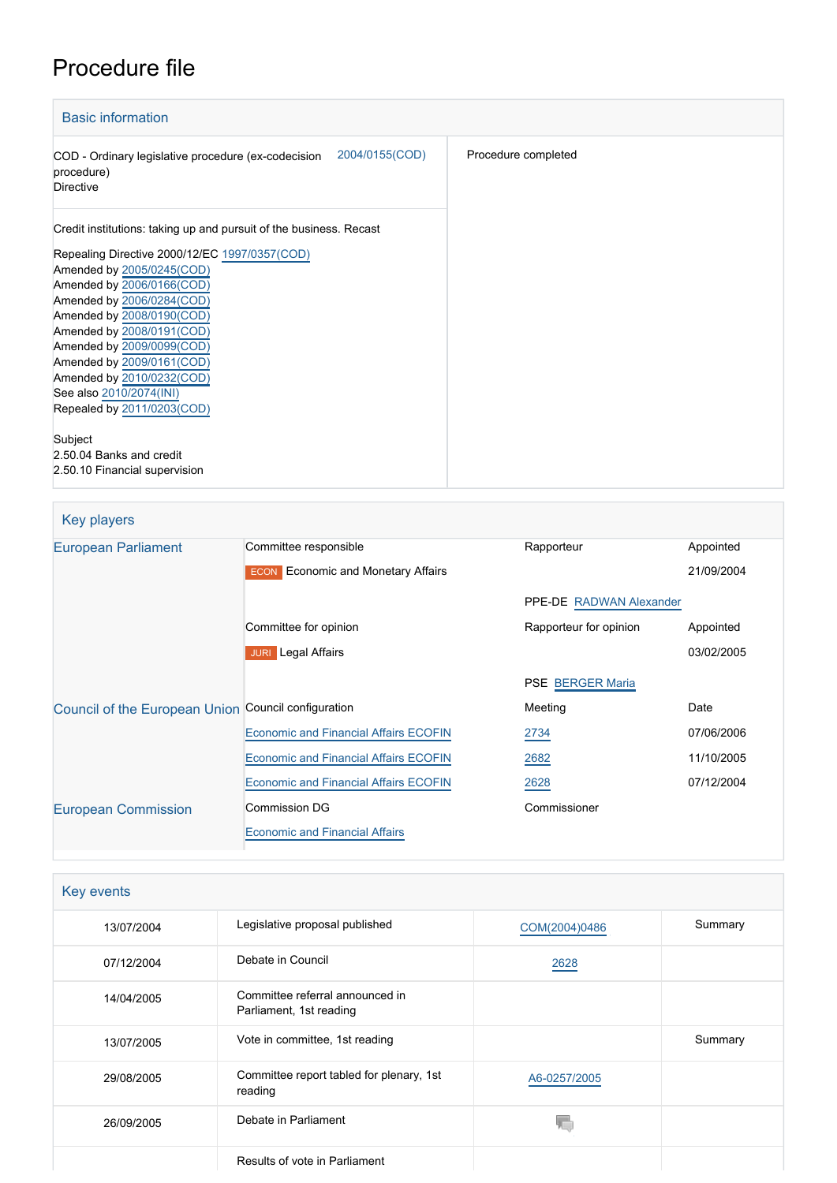# Procedure file

| <b>Basic information</b>                                                                                                                                                                                                                                                                                                                       |                     |
|------------------------------------------------------------------------------------------------------------------------------------------------------------------------------------------------------------------------------------------------------------------------------------------------------------------------------------------------|---------------------|
| 2004/0155(COD)<br>COD - Ordinary legislative procedure (ex-codecision<br>procedure)<br><b>Directive</b>                                                                                                                                                                                                                                        | Procedure completed |
| Credit institutions: taking up and pursuit of the business. Recast                                                                                                                                                                                                                                                                             |                     |
| Repealing Directive 2000/12/EC 1997/0357(COD)<br>Amended by 2005/0245(COD)<br>Amended by 2006/0166(COD)<br>Amended by 2006/0284(COD)<br>Amended by 2008/0190(COD)<br>Amended by 2008/0191(COD)<br>Amended by 2009/0099(COD)<br>Amended by 2009/0161(COD)<br>Amended by 2010/0232(COD)<br>See also 2010/2074(INI)<br>Repealed by 2011/0203(COD) |                     |
| Subject<br>2.50.04 Banks and credit<br>2.50.10 Financial supervision                                                                                                                                                                                                                                                                           |                     |

| Key players                                         |                                              |                         |            |
|-----------------------------------------------------|----------------------------------------------|-------------------------|------------|
| European Parliament                                 | Committee responsible                        | Rapporteur              | Appointed  |
|                                                     | <b>ECON</b> Economic and Monetary Affairs    |                         | 21/09/2004 |
|                                                     |                                              | PPE-DE RADWAN Alexander |            |
|                                                     | Committee for opinion                        | Rapporteur for opinion  | Appointed  |
|                                                     | <b>JURI</b> Legal Affairs                    |                         | 03/02/2005 |
|                                                     |                                              | <b>PSE BERGER Maria</b> |            |
| Council of the European Union Council configuration |                                              | Meeting                 | Date       |
|                                                     | <b>Economic and Financial Affairs ECOFIN</b> | 2734                    | 07/06/2006 |
|                                                     | <b>Economic and Financial Affairs ECOFIN</b> | 2682                    | 11/10/2005 |
|                                                     | <b>Economic and Financial Affairs ECOFIN</b> | 2628                    | 07/12/2004 |
| <b>European Commission</b>                          | <b>Commission DG</b>                         | Commissioner            |            |
|                                                     | <b>Economic and Financial Affairs</b>        |                         |            |

|  | <b>Key events</b> |
|--|-------------------|
|--|-------------------|

| 13/07/2004 | Legislative proposal published                             | COM(2004)0486 | Summary |
|------------|------------------------------------------------------------|---------------|---------|
| 07/12/2004 | Debate in Council                                          | 2628          |         |
| 14/04/2005 | Committee referral announced in<br>Parliament, 1st reading |               |         |
| 13/07/2005 | Vote in committee, 1st reading                             |               | Summary |
| 29/08/2005 | Committee report tabled for plenary, 1st<br>reading        | A6-0257/2005  |         |
| 26/09/2005 | Debate in Parliament                                       |               |         |
|            | Results of vote in Parliament                              |               |         |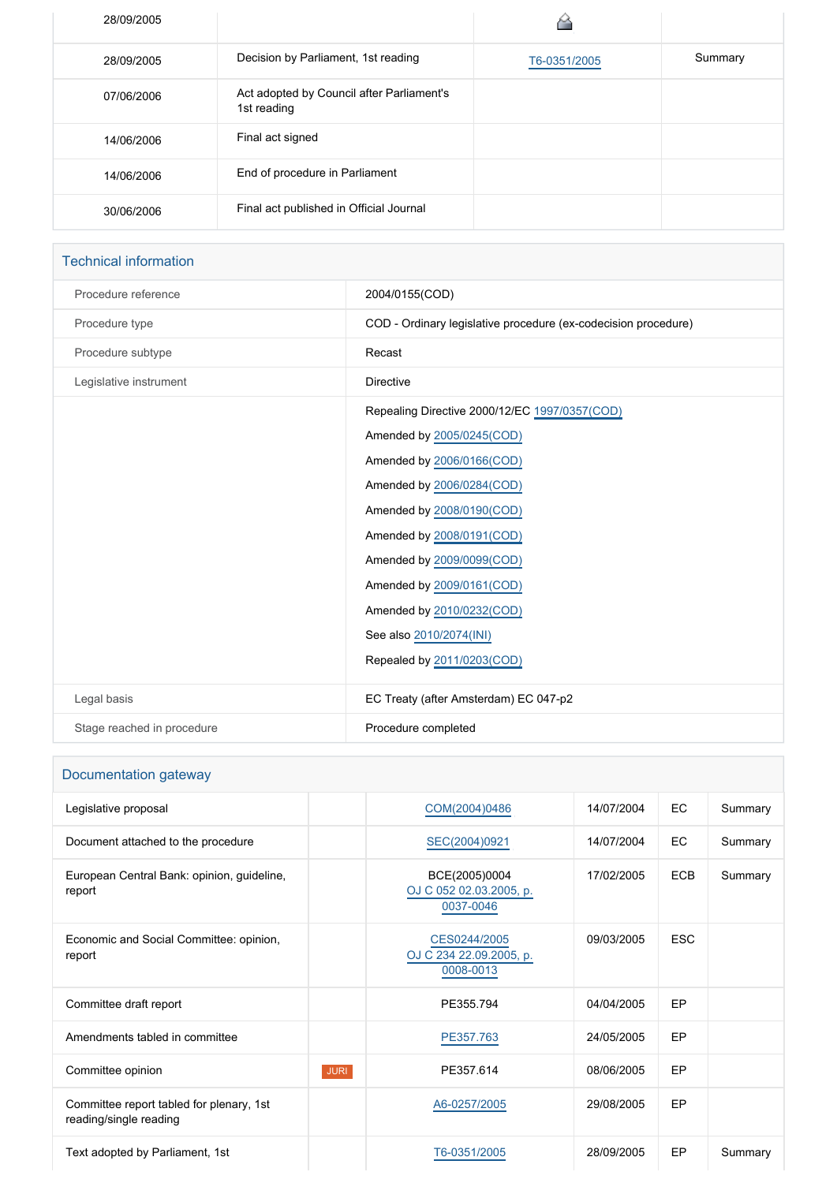| 28/09/2005 |                                                          |              |         |
|------------|----------------------------------------------------------|--------------|---------|
| 28/09/2005 | Decision by Parliament, 1st reading                      | T6-0351/2005 | Summary |
| 07/06/2006 | Act adopted by Council after Parliament's<br>1st reading |              |         |
| 14/06/2006 | Final act signed                                         |              |         |
| 14/06/2006 | End of procedure in Parliament                           |              |         |
| 30/06/2006 | Final act published in Official Journal                  |              |         |

## Technical information

| Procedure reference        | 2004/0155(COD)                                                                                                                                                                                                                                                                                                                                 |
|----------------------------|------------------------------------------------------------------------------------------------------------------------------------------------------------------------------------------------------------------------------------------------------------------------------------------------------------------------------------------------|
| Procedure type             | COD - Ordinary legislative procedure (ex-codecision procedure)                                                                                                                                                                                                                                                                                 |
| Procedure subtype          | Recast                                                                                                                                                                                                                                                                                                                                         |
| Legislative instrument     | <b>Directive</b>                                                                                                                                                                                                                                                                                                                               |
|                            | Repealing Directive 2000/12/EC 1997/0357(COD)<br>Amended by 2005/0245(COD)<br>Amended by 2006/0166(COD)<br>Amended by 2006/0284(COD)<br>Amended by 2008/0190(COD)<br>Amended by 2008/0191(COD)<br>Amended by 2009/0099(COD)<br>Amended by 2009/0161(COD)<br>Amended by 2010/0232(COD)<br>See also 2010/2074(INI)<br>Repealed by 2011/0203(COD) |
| Legal basis                | EC Treaty (after Amsterdam) EC 047-p2                                                                                                                                                                                                                                                                                                          |
| Stage reached in procedure | Procedure completed                                                                                                                                                                                                                                                                                                                            |

## Documentation gateway

| Legislative proposal                                               |             | COM(2004)0486                                         | 14/07/2004 | <b>EC</b>  | Summary |
|--------------------------------------------------------------------|-------------|-------------------------------------------------------|------------|------------|---------|
| Document attached to the procedure                                 |             | SEC(2004)0921                                         | 14/07/2004 | EC         | Summary |
| European Central Bank: opinion, guideline,<br>report               |             | BCE(2005)0004<br>OJ C 052 02.03.2005, p.<br>0037-0046 | 17/02/2005 | <b>ECB</b> | Summary |
| Economic and Social Committee: opinion,<br>report                  |             | CES0244/2005<br>OJ C 234 22.09.2005, p.<br>0008-0013  | 09/03/2005 | <b>ESC</b> |         |
| Committee draft report                                             |             | PE355.794                                             | 04/04/2005 | EP         |         |
| Amendments tabled in committee                                     |             | PE357.763                                             | 24/05/2005 | EP         |         |
| Committee opinion                                                  | <b>JURI</b> | PE357.614                                             | 08/06/2005 | <b>EP</b>  |         |
| Committee report tabled for plenary, 1st<br>reading/single reading |             | A6-0257/2005                                          | 29/08/2005 | <b>EP</b>  |         |
| Text adopted by Parliament, 1st                                    |             | T6-0351/2005                                          | 28/09/2005 | EP         | Summary |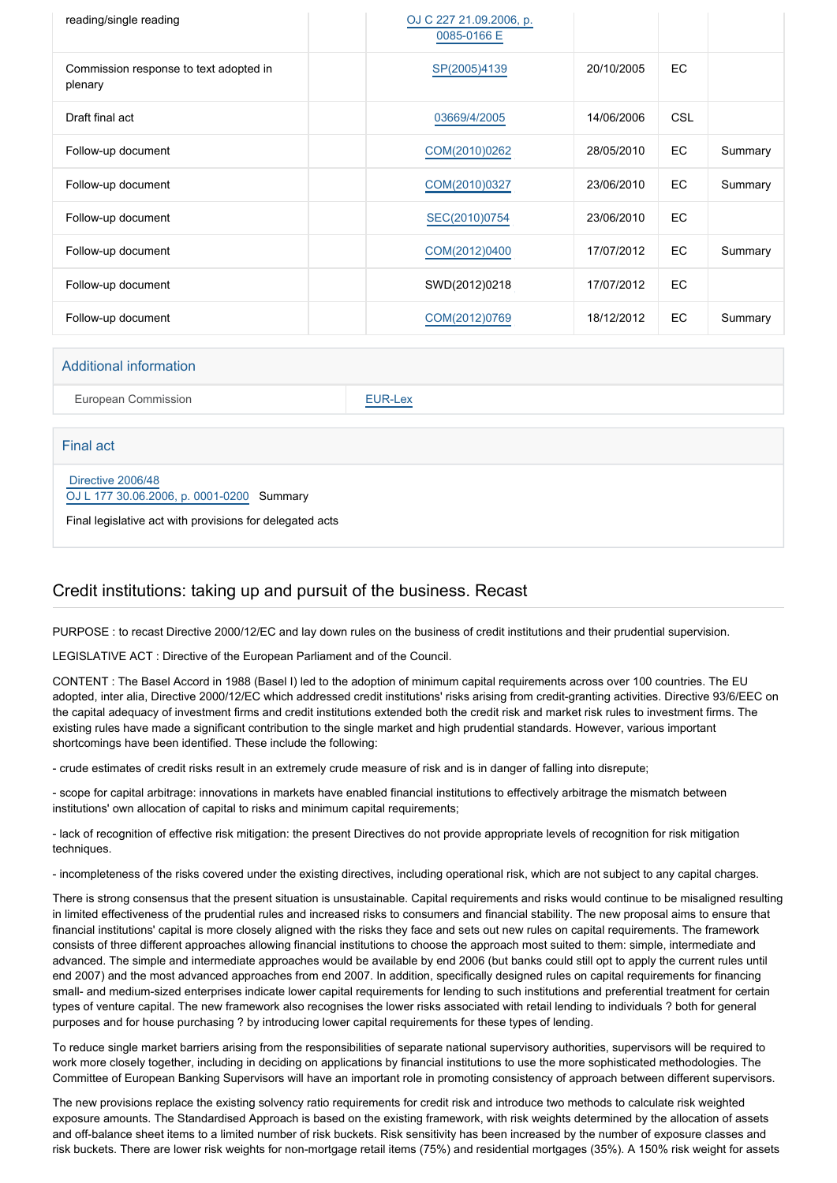| reading/single reading                            | OJ C 227 21.09.2006, p.<br>0085-0166 E |            |            |         |
|---------------------------------------------------|----------------------------------------|------------|------------|---------|
| Commission response to text adopted in<br>plenary | SP(2005)4139                           | 20/10/2005 | EC         |         |
| Draft final act                                   | 03669/4/2005                           | 14/06/2006 | <b>CSL</b> |         |
| Follow-up document                                | COM(2010)0262                          | 28/05/2010 | EC         | Summary |
| Follow-up document                                | COM(2010)0327                          | 23/06/2010 | EC         | Summary |
| Follow-up document                                | SEC(2010)0754                          | 23/06/2010 | EC         |         |
| Follow-up document                                | COM(2012)0400                          | 17/07/2012 | EC         | Summary |
| Follow-up document                                | SWD(2012)0218                          | 17/07/2012 | EC         |         |
| Follow-up document                                | COM(2012)0769                          | 18/12/2012 | EC         | Summary |

#### Additional information

European Commission **[EUR-Lex](http://ec.europa.eu/prelex/liste_resultats.cfm?CL=en&ReqId=0&DocType=COD&DocYear=2004&DocNum=0155)** 

Final act

 [Directive 2006/48](https://eur-lex.europa.eu/smartapi/cgi/sga_doc?smartapi!celexplus!prod!CELEXnumdoc&lg=EN&numdoc=32006L0048) [OJ L 177 30.06.2006, p. 0001-0200](https://eur-lex.europa.eu/JOHtml.do?uri=OJ:L:2006:177:SOM:EN:HTML) Summary

Final legislative act with provisions for delegated acts

#### Credit institutions: taking up and pursuit of the business. Recast

PURPOSE : to recast Directive 2000/12/EC and lay down rules on the business of credit institutions and their prudential supervision.

LEGISLATIVE ACT : Directive of the European Parliament and of the Council.

CONTENT : The Basel Accord in 1988 (Basel I) led to the adoption of minimum capital requirements across over 100 countries. The EU adopted, inter alia, Directive 2000/12/EC which addressed credit institutions' risks arising from credit-granting activities. Directive 93/6/EEC on the capital adequacy of investment firms and credit institutions extended both the credit risk and market risk rules to investment firms. The existing rules have made a significant contribution to the single market and high prudential standards. However, various important shortcomings have been identified. These include the following:

- crude estimates of credit risks result in an extremely crude measure of risk and is in danger of falling into disrepute;

- scope for capital arbitrage: innovations in markets have enabled financial institutions to effectively arbitrage the mismatch between institutions' own allocation of capital to risks and minimum capital requirements;

- lack of recognition of effective risk mitigation: the present Directives do not provide appropriate levels of recognition for risk mitigation techniques.

- incompleteness of the risks covered under the existing directives, including operational risk, which are not subject to any capital charges.

There is strong consensus that the present situation is unsustainable. Capital requirements and risks would continue to be misaligned resulting in limited effectiveness of the prudential rules and increased risks to consumers and financial stability. The new proposal aims to ensure that financial institutions' capital is more closely aligned with the risks they face and sets out new rules on capital requirements. The framework consists of three different approaches allowing financial institutions to choose the approach most suited to them: simple, intermediate and advanced. The simple and intermediate approaches would be available by end 2006 (but banks could still opt to apply the current rules until end 2007) and the most advanced approaches from end 2007. In addition, specifically designed rules on capital requirements for financing small- and medium-sized enterprises indicate lower capital requirements for lending to such institutions and preferential treatment for certain types of venture capital. The new framework also recognises the lower risks associated with retail lending to individuals ? both for general purposes and for house purchasing ? by introducing lower capital requirements for these types of lending.

To reduce single market barriers arising from the responsibilities of separate national supervisory authorities, supervisors will be required to work more closely together, including in deciding on applications by financial institutions to use the more sophisticated methodologies. The Committee of European Banking Supervisors will have an important role in promoting consistency of approach between different supervisors.

The new provisions replace the existing solvency ratio requirements for credit risk and introduce two methods to calculate risk weighted exposure amounts. The Standardised Approach is based on the existing framework, with risk weights determined by the allocation of assets and off-balance sheet items to a limited number of risk buckets. Risk sensitivity has been increased by the number of exposure classes and risk buckets. There are lower risk weights for non-mortgage retail items (75%) and residential mortgages (35%). A 150% risk weight for assets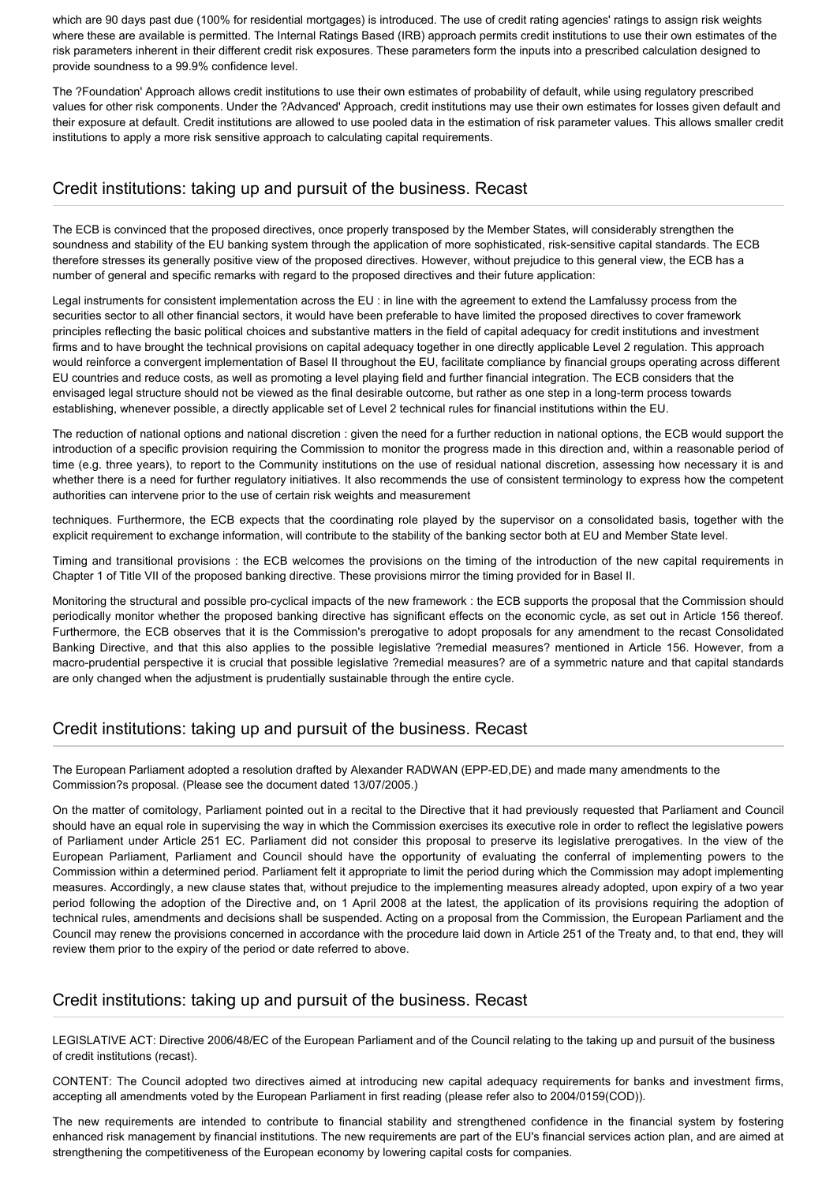which are 90 days past due (100% for residential mortgages) is introduced. The use of credit rating agencies' ratings to assign risk weights where these are available is permitted. The Internal Ratings Based (IRB) approach permits credit institutions to use their own estimates of the risk parameters inherent in their different credit risk exposures. These parameters form the inputs into a prescribed calculation designed to provide soundness to a 99.9% confidence level.

The ?Foundation' Approach allows credit institutions to use their own estimates of probability of default, while using regulatory prescribed values for other risk components. Under the ?Advanced' Approach, credit institutions may use their own estimates for losses given default and their exposure at default. Credit institutions are allowed to use pooled data in the estimation of risk parameter values. This allows smaller credit institutions to apply a more risk sensitive approach to calculating capital requirements.

#### Credit institutions: taking up and pursuit of the business. Recast

The ECB is convinced that the proposed directives, once properly transposed by the Member States, will considerably strengthen the soundness and stability of the EU banking system through the application of more sophisticated, risk-sensitive capital standards. The ECB therefore stresses its generally positive view of the proposed directives. However, without prejudice to this general view, the ECB has a number of general and specific remarks with regard to the proposed directives and their future application:

Legal instruments for consistent implementation across the EU : in line with the agreement to extend the Lamfalussy process from the securities sector to all other financial sectors, it would have been preferable to have limited the proposed directives to cover framework principles reflecting the basic political choices and substantive matters in the field of capital adequacy for credit institutions and investment firms and to have brought the technical provisions on capital adequacy together in one directly applicable Level 2 regulation. This approach would reinforce a convergent implementation of Basel II throughout the EU, facilitate compliance by financial groups operating across different EU countries and reduce costs, as well as promoting a level playing field and further financial integration. The ECB considers that the envisaged legal structure should not be viewed as the final desirable outcome, but rather as one step in a long-term process towards establishing, whenever possible, a directly applicable set of Level 2 technical rules for financial institutions within the EU.

The reduction of national options and national discretion : given the need for a further reduction in national options, the ECB would support the introduction of a specific provision requiring the Commission to monitor the progress made in this direction and, within a reasonable period of time (e.g. three years), to report to the Community institutions on the use of residual national discretion, assessing how necessary it is and whether there is a need for further regulatory initiatives. It also recommends the use of consistent terminology to express how the competent authorities can intervene prior to the use of certain risk weights and measurement

techniques. Furthermore, the ECB expects that the coordinating role played by the supervisor on a consolidated basis, together with the explicit requirement to exchange information, will contribute to the stability of the banking sector both at EU and Member State level.

Timing and transitional provisions : the ECB welcomes the provisions on the timing of the introduction of the new capital requirements in Chapter 1 of Title VII of the proposed banking directive. These provisions mirror the timing provided for in Basel II.

Monitoring the structural and possible pro-cyclical impacts of the new framework : the ECB supports the proposal that the Commission should periodically monitor whether the proposed banking directive has significant effects on the economic cycle, as set out in Article 156 thereof. Furthermore, the ECB observes that it is the Commission's prerogative to adopt proposals for any amendment to the recast Consolidated Banking Directive, and that this also applies to the possible legislative ?remedial measures? mentioned in Article 156. However, from a macro-prudential perspective it is crucial that possible legislative ?remedial measures? are of a symmetric nature and that capital standards are only changed when the adjustment is prudentially sustainable through the entire cycle.

#### Credit institutions: taking up and pursuit of the business. Recast

The European Parliament adopted a resolution drafted by Alexander RADWAN (EPP-ED,DE) and made many amendments to the Commission?s proposal. (Please see the document dated 13/07/2005.)

On the matter of comitology, Parliament pointed out in a recital to the Directive that it had previously requested that Parliament and Council should have an equal role in supervising the way in which the Commission exercises its executive role in order to reflect the legislative powers of Parliament under Article 251 EC. Parliament did not consider this proposal to preserve its legislative prerogatives. In the view of the European Parliament, Parliament and Council should have the opportunity of evaluating the conferral of implementing powers to the Commission within a determined period. Parliament felt it appropriate to limit the period during which the Commission may adopt implementing measures. Accordingly, a new clause states that, without prejudice to the implementing measures already adopted, upon expiry of a two year period following the adoption of the Directive and, on 1 April 2008 at the latest, the application of its provisions requiring the adoption of technical rules, amendments and decisions shall be suspended. Acting on a proposal from the Commission, the European Parliament and the Council may renew the provisions concerned in accordance with the procedure laid down in Article 251 of the Treaty and, to that end, they will review them prior to the expiry of the period or date referred to above.

#### Credit institutions: taking up and pursuit of the business. Recast

LEGISLATIVE ACT: Directive 2006/48/EC of the European Parliament and of the Council relating to the taking up and pursuit of the business of credit institutions (recast).

CONTENT: The Council adopted two directives aimed at introducing new capital adequacy requirements for banks and investment firms, accepting all amendments voted by the European Parliament in first reading (please refer also to 2004/0159(COD)).

The new requirements are intended to contribute to financial stability and strengthened confidence in the financial system by fostering enhanced risk management by financial institutions. The new requirements are part of the EU's financial services action plan, and are aimed at strengthening the competitiveness of the European economy by lowering capital costs for companies.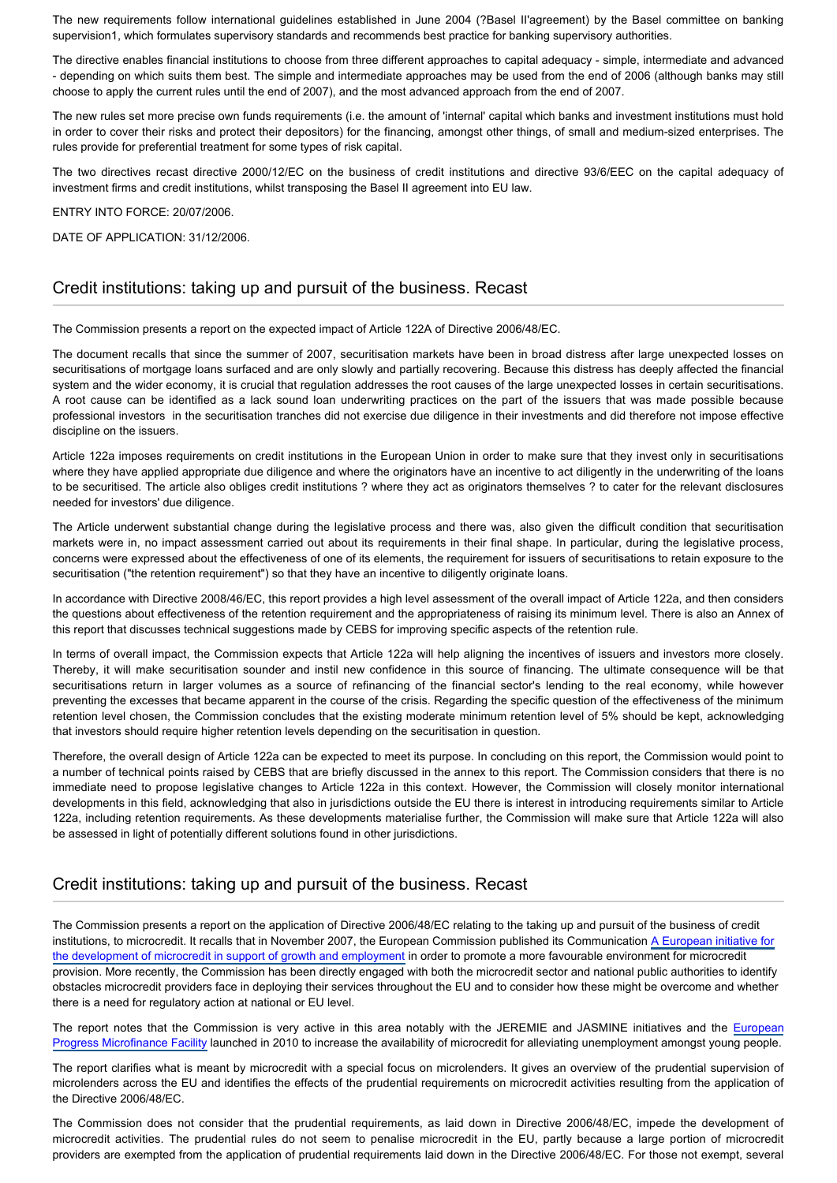The new requirements follow international guidelines established in June 2004 (?Basel II'agreement) by the Basel committee on banking supervision1, which formulates supervisory standards and recommends best practice for banking supervisory authorities.

The directive enables financial institutions to choose from three different approaches to capital adequacy - simple, intermediate and advanced - depending on which suits them best. The simple and intermediate approaches may be used from the end of 2006 (although banks may still choose to apply the current rules until the end of 2007), and the most advanced approach from the end of 2007.

The new rules set more precise own funds requirements (i.e. the amount of 'internal' capital which banks and investment institutions must hold in order to cover their risks and protect their depositors) for the financing, amongst other things, of small and medium-sized enterprises. The rules provide for preferential treatment for some types of risk capital.

The two directives recast directive 2000/12/EC on the business of credit institutions and directive 93/6/EEC on the capital adequacy of investment firms and credit institutions, whilst transposing the Basel II agreement into EU law.

ENTRY INTO FORCE: 20/07/2006.

DATE OF APPLICATION: 31/12/2006.

#### Credit institutions: taking up and pursuit of the business. Recast

The Commission presents a report on the expected impact of Article 122A of Directive 2006/48/EC.

The document recalls that since the summer of 2007, securitisation markets have been in broad distress after large unexpected losses on securitisations of mortgage loans surfaced and are only slowly and partially recovering. Because this distress has deeply affected the financial system and the wider economy, it is crucial that regulation addresses the root causes of the large unexpected losses in certain securitisations. A root cause can be identified as a lack sound loan underwriting practices on the part of the issuers that was made possible because professional investors in the securitisation tranches did not exercise due diligence in their investments and did therefore not impose effective discipline on the issuers.

Article 122a imposes requirements on credit institutions in the European Union in order to make sure that they invest only in securitisations where they have applied appropriate due diligence and where the originators have an incentive to act diligently in the underwriting of the loans to be securitised. The article also obliges credit institutions ? where they act as originators themselves ? to cater for the relevant disclosures needed for investors' due diligence.

The Article underwent substantial change during the legislative process and there was, also given the difficult condition that securitisation markets were in, no impact assessment carried out about its requirements in their final shape. In particular, during the legislative process, concerns were expressed about the effectiveness of one of its elements, the requirement for issuers of securitisations to retain exposure to the securitisation ("the retention requirement") so that they have an incentive to diligently originate loans.

In accordance with Directive 2008/46/EC, this report provides a high level assessment of the overall impact of Article 122a, and then considers the questions about effectiveness of the retention requirement and the appropriateness of raising its minimum level. There is also an Annex of this report that discusses technical suggestions made by CEBS for improving specific aspects of the retention rule.

In terms of overall impact, the Commission expects that Article 122a will help aligning the incentives of issuers and investors more closely. Thereby, it will make securitisation sounder and instil new confidence in this source of financing. The ultimate consequence will be that securitisations return in larger volumes as a source of refinancing of the financial sector's lending to the real economy, while however preventing the excesses that became apparent in the course of the crisis. Regarding the specific question of the effectiveness of the minimum retention level chosen, the Commission concludes that the existing moderate minimum retention level of 5% should be kept, acknowledging that investors should require higher retention levels depending on the securitisation in question.

Therefore, the overall design of Article 122a can be expected to meet its purpose. In concluding on this report, the Commission would point to a number of technical points raised by CEBS that are briefly discussed in the annex to this report. The Commission considers that there is no immediate need to propose legislative changes to Article 122a in this context. However, the Commission will closely monitor international developments in this field, acknowledging that also in jurisdictions outside the EU there is interest in introducing requirements similar to Article 122a, including retention requirements. As these developments materialise further, the Commission will make sure that Article 122a will also be assessed in light of potentially different solutions found in other jurisdictions.

#### Credit institutions: taking up and pursuit of the business. Recast

The Commission presents a report on the application of Directive 2006/48/EC relating to the taking up and pursuit of the business of credit institutions, to microcredit. It recalls that in November 2007, the European Commission published its Communication [A European initiative for](http://www.europarl.europa.eu/oeil/popups/ficheprocedure.do?lang=en&reference=2008/2122(INI)) [the development of microcredit in support of growth and employment](http://www.europarl.europa.eu/oeil/popups/ficheprocedure.do?lang=en&reference=2008/2122(INI)) in order to promote a more favourable environment for microcredit provision. More recently, the Commission has been directly engaged with both the microcredit sector and national public authorities to identify obstacles microcredit providers face in deploying their services throughout the EU and to consider how these might be overcome and whether there is a need for regulatory action at national or EU level.

The report notes that the Commission is very active in this area notably with the JEREMIE and JASMINE initiatives and the [European](http://www.europarl.europa.eu/oeil/popups/ficheprocedure.do?lang=en&reference=2009/0096(COD)) [Progress Microfinance Facility](http://www.europarl.europa.eu/oeil/popups/ficheprocedure.do?lang=en&reference=2009/0096(COD)) launched in 2010 to increase the availability of microcredit for alleviating unemployment amongst young people.

The report clarifies what is meant by microcredit with a special focus on microlenders. It gives an overview of the prudential supervision of microlenders across the EU and identifies the effects of the prudential requirements on microcredit activities resulting from the application of the Directive 2006/48/EC.

The Commission does not consider that the prudential requirements, as laid down in Directive 2006/48/EC, impede the development of microcredit activities. The prudential rules do not seem to penalise microcredit in the EU, partly because a large portion of microcredit providers are exempted from the application of prudential requirements laid down in the Directive 2006/48/EC. For those not exempt, several